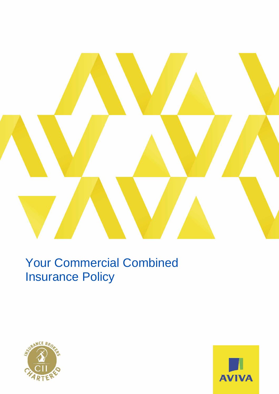

# Your Commercial Combined Insurance Policy



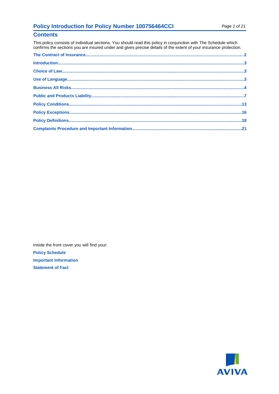## **Policy Introduction for Policy Number 100756464CCI**

### **Contents**

This policy consists of individual sections. You should read this policy in conjunction with The Schedule which confirms the sections you are insured under and gives precise details of the extent of your insurance protection.

| $\label{f:1} \text{Introduction}\\$ |  |
|-------------------------------------|--|
|                                     |  |
|                                     |  |
|                                     |  |
|                                     |  |
|                                     |  |
|                                     |  |
|                                     |  |
|                                     |  |

Inside the front cover you will find your: **Policy Schedule Important Information Statement of Fact** 

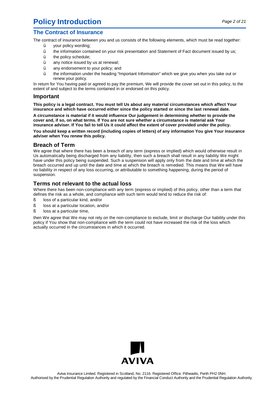## <span id="page-3-0"></span>**Policy Introduction**

## **The Contract of Insurance**

The contract of insurance between you and us consists of the following elements, which must be read together:

- ü your policy wording;
- ü the information contained on your risk presentation and Statement of Fact document issued by us;
- ü the policy schedule;
- ü any notice issued by us at renewal;
- ü any endorsement to your policy; and
- ü the information under the heading "Important Information" which we give you when you take out or renew your policy.

In return for You having paid or agreed to pay the premium, We will provide the cover set out in this policy, to the extent of and subject to the terms contained in or endorsed on this policy.

### **Important**

**This policy is a legal contract. You must tell Us about any material circumstances which affect Your insurance and which have occurred either since the policy started or since the last renewal date.**

**A circumstance is material if it would influence Our judgement in determining whether to provide the** cover and, if so, on what terms. If You are not sure whether a circumstance is material ask Your insurance adviser. If You fail to tell Us it could affect the extent of cover provided under the policy.

**You should keep a written record (including copies of letters) of any information You give Your insurance adviser when You renew this policy.**

### **Breach of Term**

We agree that where there has been a breach of any term (express or implied) which would otherwise result in Us automatically being discharged from any liability, then such a breach shall result in any liability We might have under this policy being suspended. Such a suspension will apply only from the date and time at which the breach occurred and up until the date and time at which the breach is remedied. This means that We will have no liability in respect of any loss occurring, or attributable to something happening, during the period of suspension.

### **Terms not relevant to the actual loss**

Where there has been non-compliance with any term (express or implied) of this policy, other than a term that defines the risk as a whole, and compliance with such term would tend to reduce the risk of:

- ß loss of a particular kind, and/or
- ß loss at a particular location, and/or
- ß loss at a particular time,

then We agree that We may not rely on the non-compliance to exclude, limit or discharge Our liability under this policy if You show that non-compliance with the term could not have increased the risk of the loss which actually occurred in the circumstances in which it occurred.

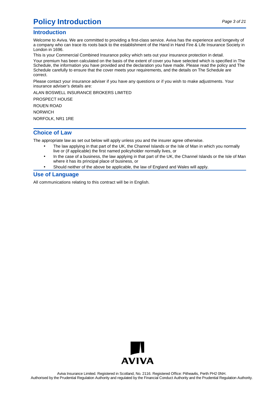## <span id="page-4-0"></span>**Policy Introduction**

### **Introduction**

Welcome to Aviva. We are committed to providing a first-class service. Aviva has the experience and longevity of a company who can trace its roots back to the establishment of the Hand in Hand Fire & Life Insurance Society in London in 1696.

This is your Commercial Combined Insurance policy which sets out your insurance protection in detail.

Your premium has been calculated on the basis of the extent of cover you have selected which is specified in The Schedule, the information you have provided and the declaration you have made. Please read the policy and The Schedule carefully to ensure that the cover meets your requirements, and the details on The Schedule are correct.

Please contact your insurance adviser if you have any questions or if you wish to make adjustments. Your insurance adviser's details are:

ALAN BOSWELL INSURANCE BROKERS LIMITED

PROSPECT HOUSE ROUEN ROAD NORWICH

NORFOLK, NR1 1RE

## **Choice of Law**

The appropriate law as set out below will apply unless you and the insurer agree otherwise.

- The law applying in that part of the UK, the Channel Islands or the Isle of Man in which you normally live or (if applicable) the first named policyholder normally lives, or
- In the case of a business, the law applying in that part of the UK, the Channel Islands or the Isle of Man where it has its principal place of business, or
- Should neither of the above be applicable, the law of England and Wales will apply.

## **Use of Language**

All communications relating to this contract will be in English.

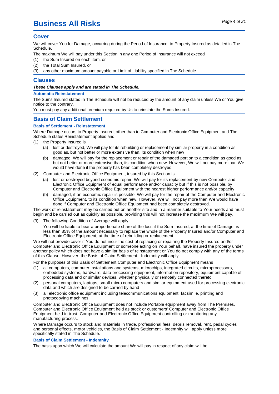## <span id="page-6-0"></span>Page 4 of <sup>21</sup> **Business All Risks**

#### **Cover**

We will cover You for Damage, occurring during the Period of Insurance, to Property Insured as detailed in The Schedule.

The maximum We will pay under this Section in any one Period of Insurance will not exceed

- (1) the Sum Insured on each item, or
- (2) the Total Sum Insured, or
- (3) any other maximum amount payable or Limit of Liability specified in The Schedule.

#### **Clauses**

#### **These Clauses apply and are stated in The Schedule.**

#### **Automatic Reinstatement**

The Sums Insured stated in The Schedule will not be reduced by the amount of any claim unless We or You give notice to the contrary.

You must pay any additional premium required by Us to reinstate the Sums Insured.

### **Basis of Claim Settlement**

#### **Basis of Settlement - Reinstatement**

Where Damage occurs to Property Insured, other than to Computer and Electronic Office Equipment and The Schedule states Reinstatement applies and

- (1) the Property Insured is
	- (a) lost or destroyed, We will pay for its rebuilding or replacement by similar property in a condition as good as, but not better or more extensive than, its condition when new
	- (b) damaged, We will pay for the replacement or repair of the damaged portion to a condition as good as, but not better or more extensive than, its condition when new. However, We will not pay more than We would have done if the property has been completely destroyed
- (2) Computer and Electronic Office Equipment, insured by this Section is
	- (a) lost or destroyed beyond economic repair, We will pay for its replacement by new Computer and Electronic Office Equipment of equal performance and/or capacity but if this is not possible, by Computer and Electronic Office Equipment with the nearest higher performance and/or capacity
	- (b) damaged, if an economic repair is possible, We will pay for the repair of the Computer and Electronic Office Equipment, to its condition when new. However, We will not pay more than We would have done if Computer and Electronic Office Equipment had been completely destroyed.

The work of reinstatement may be carried out on another site and in a manner suitable to Your needs and must begin and be carried out as quickly as possible, providing this will not increase the maximum We will pay.

(3) The following Condition of Average will apply

You will be liable to bear a proportionate share of the loss if the Sum Insured, at the time of Damage, is less than 85% of the amount necessary to replace the whole of the Property Insured and/or Computer and Electronic Office Equipment, at the time of rebuilding or replacement.

We will not provide cover if You do not incur the cost of replacing or repairing the Property Insured and/or Computer and Electronic Office Equipment or someone acting on Your behalf, have insured the property under another policy which does not have a similar basis of reinstatement or You do not comply with any of the terms of this Clause. However, the Basis of Claim Settlement - Indemnity will apply.

For the purposes of this Basis of Settlement Computer and Electronic Office Equipment means

- (1) all computers, computer installations and systems, microchips, integrated circuits, microprocessors, embedded systems, hardware, data processing equipment, information repository, equipment capable of processing data and or similar devices, whether physically or remotely connected thereto
- (2) personal computers, laptops, small micro computers and similar equipment used for processing electronic data and which are designed to be carried by hand
- (3) all electronic office equipment including telecommunications equipment, facsimile, printing and photocopying machines.

Computer and Electronic Office Equipment does not include Portable equipment away from The Premises, Computer and Electronic Office Equipment held as stock or customers' Computer and Electronic Office Equipment held in trust, Computer and Electronic Office Equipment controlling or monitoring any manufacturing process.

Where Damage occurs to stock and materials in trade, professional fees, debris removal, rent, pedal cycles and personal effects, motor vehicles, the Basis of Claim Settlement - Indemnity will apply unless more specifically stated in The Schedule.

#### **Basis of Claim Settlement - Indemnity**

The basis upon which We will calculate the amount We will pay in respect of any claim will be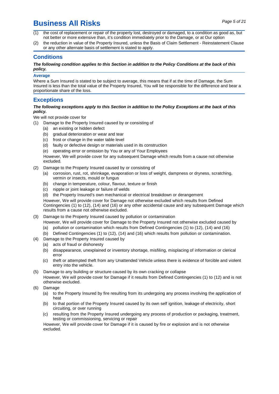## Page 5 of <sup>21</sup> **Business All Risks**

- (1) the cost of replacement or repair of the property lost, destroyed or damaged, to a condition as good as, but not better or more extensive than, it's condition immediately prior to the Damage, or at Our option
- (2) the reduction in value of the Property Insured, unless the Basis of Claim Settlement Reinstatement Clause or any other alternate basis of settlement is stated to apply.

### **Conditions**

#### The following condition applies to this Section in addition to the Policy Conditions at the back of this **policy.**

#### **Average**

Where a Sum Insured is stated to be subject to average, this means that if at the time of Damage, the Sum Insured is less than the total value of the Property Insured, You will be responsible for the difference and bear a proportionate share of the loss.

### **Exceptions**

#### The following exceptions apply to this Section in addition to the Policy Exceptions at the back of this **policy.**

We will not provide cover for

- (1) Damage to the Property Insured caused by or consisting of
	- (a) an existing or hidden defect
	- (b) gradual deterioration or wear and tear
	- (c) frost or change in the water table level
	- (d) faulty or defective design or materials used in its construction
	- (e) operating error or omission by You or any of Your Employees

However, We will provide cover for any subsequent Damage which results from a cause not otherwise excluded.

- (2) Damage to the Property Insured caused by or consisting of
	- (a) corrosion, rust, rot, shrinkage, evaporation or loss of weight, dampness or dryness, scratching, vermin or insects, mould or fungus
	- (b) change in temperature, colour, flavour, texture or finish
	- (c) nipple or joint leakage or failure of welds
	- (d) the Property Insured's own mechanical or electrical breakdown or derangement

However, We will provide cover for Damage not otherwise excluded which results from Defined Contingencies (1) to (12), (14) and (16) or any other accidental cause and any subsequent Damage which results from acause not otherwise excluded.

- (3) Damage to the Property Insured caused by pollution or contamination
	- However, We will provide cover for Damage to the Property Insured not otherwise excluded caused by
	- (a) pollution or contamination which results from Defined Contingencies (1) to (12), (14) and (16)
	- (b) Defined Contingencies (1) to (12), (14) and (16) which results from pollution or contamination.
- (4) Damage to the Property Insured caused by
	- (a) acts of fraud or dishonesty
	- (b) disappearance, unexplained or inventory shortage, misfiling, misplacing of information or clerical error
	- (c) theft or attempted theft from any Unattended Vehicle unless there is evidence of forcible and violent entry into the vehicle.
- (5) Damage to any building or structure caused by its own cracking or collapse However, We will provide cover for Damage if it results from Defined Contingencies (1) to (12) and is not otherwise excluded.
- (6) Damage
	- (a) to the Property Insured by fire resulting from its undergoing any process involving the application of heat
	- (b) to that portion of the Property Insured caused by its own self ignition, leakage of electricity, short circuiting, or over running
	- (c) resulting from the Property Insured undergoing any process of production or packaging, treatment, testing or commissioning, servicing or repair

However, We will provide cover for Damage if it is caused by fire or explosion and is not otherwise excluded.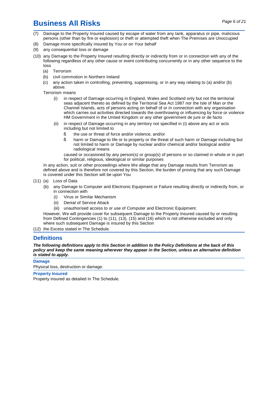## Page 6 of <sup>21</sup> **Business All Risks**

- (7) Damage to the Property Insured caused by escape of water from any tank, apparatus or pipe, malicious persons (other than by fire or explosion) or theft or attempted theft when The Premises are Unoccupied
- (8) Damage more specifically insured by You or on Your behalf
- (9) any consequential loss or damage
- (10) any Damage to the Property Insured resulting directly or indirectly from or in connection with any of the following regardless of any other cause or event contributing concurrently or in any other sequence to the loss
	- (a) Terrorism
	- (b) civil commotion in Northern Ireland
	- (c) any action taken in controlling, preventing, suppressing, or in any way relating to (a) and/or (b) above.

Terrorism means

- (i) in respect of Damage occurring in England, Wales and Scotland only but not the territorial seas adjacent thereto as defined by the Territorial Sea Act 1987 nor the Isle of Man or the Channel Islands, acts of persons acting on behalf of or in connection with any organisation which carries out activities directed towards the overthrowing or influencing by force or violence HM Government in the United Kingdom or any other government de jure or de facto
- (ii) in respect of Damage occurring in any territory not specified in (i) above any act or acts including but not limited to
	- ß the use or threat of force and/or violence, and/or
	- ß harm or Damage to life or to property or the threat of such harm or Damage including but not limited to harm or Damage by nuclear and/or chemical and/or biological and/or radiological means

caused or occasioned by any person(s) or group(s) of persons or so claimed in whole or in part for political, religious, ideological or similar purposes

In any action, suit or other proceedings where We allege that any Damage results from Terrorism as defined above and is therefore not covered by this Section, the burden of proving that any such Damage is covered under this Section will be upon You

- (11) (a) Loss of Data
	- (b) any Damage to Computer and Electronic Equipment or Failure resulting directly or indirectly from, or in connection with
		- (i) Virus or Similar Mechanism
		- (ii) Denial of Service Attack
		- (iii) unauthorised access to or use of Computer and Electronic Equipment.

However, We will provide cover for subsequent Damage to the Property Insured caused by or resulting from Defined Contingencies (1) to (11), (13), (15) and (16) which is not otherwise excluded and only where such subsequent Damage is insured by this Section

(12) the Excess stated in The Schedule.

### **Definitions**

The following definitions apply to this Section in addition to the Policy Definitions at the back of this **policy and keep the same meaning wherever they appear in the Section, unless an alternative definition is stated to apply.**

#### **Damage**

Physical loss, destruction or damage.

#### **Property Insured**

Property insured as detailed in The Schedule.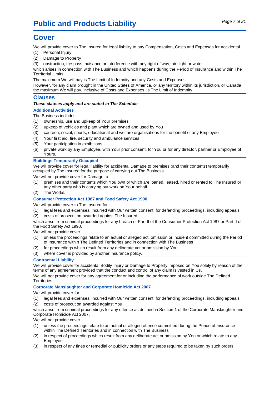## <span id="page-9-0"></span>**Cover**

We will provide cover to The Insured for legal liability to pay Compensation, Costs and Expenses for accidental

- (1) Personal Injury
- (2) Damage to Property
- (3) obstruction, trespass, nuisance or interference with any right of way, air, light or water

which arises in connection with The Business and which happens during the Period of Insurance and within The Territorial Limits.

The maximum We will pay is The Limit of Indemnity and any Costs and Expenses.

However, for any claim brought in the United States of America, or any territory within its jurisdiction, or Canada the maximum We will pay, inclusive of Costs and Expenses, is The Limit of Indemnity.

### **Clauses**

#### **These clauses apply and are stated in The Schedule**

#### **Additional Activities**

The Business includes

- (1) ownership, use and upkeep of Your premises
- (2) upkeep of vehicles and plant which are owned and used by You
- (3) canteen, social, sports, educational and welfare organisations for the benefit of any Employee
- (4) Your first aid, fire, security and ambulance services
- (5) Your participation in exhibitions
- (6) private work by any Employee, with Your prior consent, for You or for any director, partner or Employee of Yours.

#### **Buildings Temporarily Occupied**

We will provide cover for legal liability for accidental Damage to premises (and their contents) temporarily occupied by The Insured for the purpose of carrying out The Business.

We will not provide cover for Damage to

- (1) premises and their contents which You own or which are loaned, leased, hired or rented to The Insured or any other party who is carrying out work on Your behalf
- (2) The Works.

#### **Consumer Protection Act 1987 and Food Safety Act 1990**

We will provide cover to The Insured for

- (1) legal fees and expenses, incurred with Our written consent, for defending proceedings, including appeals
- (2) costs of prosecution awarded against The Insured

which arise from criminal proceedings for any breach of Part II of the Consumer Protection Act 1987 or Part II of the Food Safety Act 1990.

We will not provide cover

- (1) unless the proceedings relate to an actual or alleged act, omission or incident committed during the Period of Insurance within The Defined Territories and in connection with The Business
- (2) for proceedings which result from any deliberate act or omission by You
- (3) where cover is provided by another insurance policy.

#### **Contractual Liability**

We will provide cover for accidental Bodily Injury or Damage to Property imposed on You solely by reason of the terms of any agreement provided that the conduct and control of any claim is vested in Us.

We will not provide cover for any agreement for or including the performance of work outside The Defined Territories.

#### **Corporate Manslaughter and Corporate Homicide Act 2007**

We will provide cover for

(1) legal fees and expenses, incurred with Our written consent, for defending proceedings, including appeals (2) costs of prosecution awarded against You

which arise from criminal proceedings for any offence as defined in Section 1 of the Corporate Manslaughter and Corporate Homicide Act 2007.

We will not provide cover

- (1) unless the proceedings relate to an actual or alleged offence committed during the Period of Insurance within The Defined Territories and in connection with The Business
- (2) in respect of proceedings which result from any deliberate act or omission by You or which relate to any Employee
- (3) in respect of any fines or remedial or publicity orders or any steps required to be taken by such orders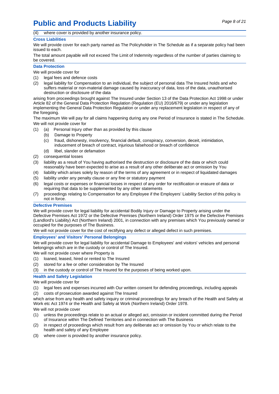## **Public and Products Liability** Page 8 of 21

(4) where cover is provided by another insurance policy.

#### **Cross Liabilities**

We will provide cover for each party named as The Policyholder in The Schedule as if a separate policy had been issued to each.

The total amount payable will not exceed The Limit of Indemnity regardless of the number of parties claiming to be covered.

#### **Data Protection**

We will provide cover for

- (1) legal fees and defence costs
- (2) legal liability for Compensation to an individual, the subject of personal data The Insured holds and who suffers material or non-material damage caused by inaccuracy of data, loss of the data, unauthorised destruction or disclosure of the data

arising from proceedings brought against The Insured under Section 13 of the Data Protection Act 1998 or under Article 82 of the General Data Protection Regulation (Regulation (EU) 2016/679) or under any legislation implementing the General Data Protection Regulation or under any replacement legislation in respect of any of the foregoing.

The maximum We will pay for all claims happening during any one Period of Insurance is stated in The Schedule. We will not provide cover for

- (1) (a) Personal Injury other than as provided by this clause
	- (b) Damage to Property

(c) fraud, dishonesty, insolvency, financial default, conspiracy, conversion, deceit, intimidation, inducement of breach of contract, injurious falsehood or breach of confidence

- (d) libel, slander or defamation
- (2) consequential losses
- (3) liability as a result of You having authorised the destruction or disclosure of the data or which could reasonably have been expected to arise as a result of any other deliberate act or omission by You
- (4) liability which arises solely by reason of the terms of any agreement or in respect of liquidated damages
- (5) liability under any penalty clause or any fine or statutory payment
- (6) legal costs or expenses or financial losses in respect of any order for rectification or erasure of data or requiring that data to be supplemented by any other statements
- (7) proceedings relating to Compensation for any Employee if the Employers' Liability Section of this policy is not in force.

#### **Defective Premises**

We will provide cover for legal liability for accidental Bodily Injury or Damage to Property arising under the Defective Premises Act 1972 or the Defective Premises (Northern Ireland) Order 1975 or the Defective Premises (Landlord's Liability) Act (Northern Ireland) 2001, in connection with any premises which You previously owned or occupied for the purposes of The Business.

We will not provide cover for the cost of rectifying any defect or alleged defect in such premises.

#### **Employees' and Visitors' Personal Belongings**

We will provide cover for legal liability for accidental Damage to Employees' and visitors' vehicles and personal belongings which are in the custody or control of The Insured.

We will not provide cover where Property is

- (1) loaned, leased, hired or rented to The Insured
- (2) stored for a fee or other consideration by The Insured
- (3) in the custody or control of The Insured for the purposes of being worked upon.

#### **Health and Safety Legislation**

We will provide cover for

- (1) legal fees and expenses incurred with Our written consent for defending proceedings, including appeals
- (2) costs of prosecution awarded against The Insured

which arise from any health and safety inquiry or criminal proceedings for any breach of the Health and Safety at Work etc Act 1974 or the Health and Safety at Work (Northern Ireland) Order 1978.

We will not provide cover

- (1) unless the proceedings relate to an actual or alleged act, omission or incident committed during the Period of Insurance within The Defined Territories and in connection with The Business
- (2) in respect of proceedings which result from any deliberate act or omission by You or which relate to the health and safety of any Employee
- (3) where cover is provided by another insurance policy.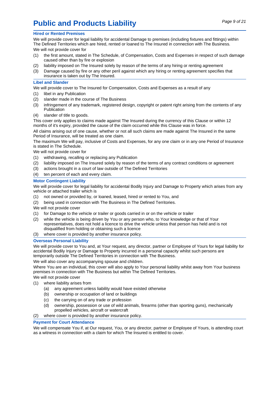## **Public and Products Liability** Page 9 of 21

#### **Hired or Rented Premises**

We will provide cover for legal liability for accidental Damage to premises (including fixtures and fittings) within The Defined Territories which are hired, rented or loaned to The Insured in connection with The Business.

We will not provide cover for

- (1) the first amount, stated in The Schedule, of Compensation, Costs and Expenses in respect of such damage caused other than by fire or explosion
- (2) liability imposed on The Insured solely by reason of the terms of any hiring or renting agreement
- (3) Damage caused by fire or any other peril against which any hiring or renting agreement specifies that insurance is taken out by The Insured.

#### **Libel and Slander**

We will provide cover to The Insured for Compensation, Costs and Expenses as a result of any

- (1) libel in any Publication
- (2) slander made in the course of The Business
- (3) infringement of any trademark, registered design, copyright or patent right arising from the contents of any **Publication**
- (4) slander of title to goods.

This cover only applies to claims made against The Insured during the currency of this Clause or within 12 months of it's expiry, provided the cause of the claim occurred while this Clause was in force.

All claims arising out of one cause, whether or not all such claims are made against The Insured in the same Period of Insurance, will be treated as one claim.

The maximum We will pay, inclusive of Costs and Expenses, for any one claim or in any one Period of Insurance is stated in The Schedule.

We will not provide cover for

- (1) withdrawing, recalling or replacing any Publication
- (2) liability imposed on The Insured solely by reason of the terms of any contract conditions or agreement
- (3) actions brought in a court of law outside of The Defined Territories
- (4) ten percent of each and every claim.

#### **Motor Contingent Liability**

We will provide cover for legal liability for accidental Bodily Injury and Damage to Property which arises from any vehicle or attached trailer which is

- (1) not owned or provided by, or loaned, leased, hired or rented to You, and
- (2) being used in connection with The Business in The Defined Territories.

We will not provide cover

- (1) for Damage to the vehicle or trailer or goods carried in or on the vehicle or trailer
- (2) while the vehicle is being driven by You or any person who, to Your knowledge or that of Your representatives, does not hold a licence to drive the vehicle unless that person has held and is not disqualified from holding or obtaining such a licence
- (3) where cover is provided by another insurance policy.

#### **Overseas Personal Liability**

We will provide cover to You and, at Your request, any director, partner or Employee of Yours for legal liability for accidental Bodily Injury or Damage to Property incurred in a personal capacity whilst such persons are temporarily outside The Defined Territories in connection with The Business.

We will also cover any accompanying spouse and children.

Where You are an individual, this cover will also apply to Your personal liability whilst away from Your business premises in connection with The Business but within The Defined Territories.

We will not provide cover

- (1) where liability arises from
	- (a) any agreement unless liability would have existed otherwise
	- (b) ownership or occupation of land or buildings
	- (c) the carrying on of any trade or profession
	- (d) ownership, possession or use of wild animals, firearms (other than sporting guns), mechanically propelled vehicles, aircraft or watercraft
- (2) where cover is provided by another insurance policy.

#### **Payment for Court Attendance**

We will compensate You if, at Our request, You, or any director, partner or Employee of Yours, is attending court as a witness in connection with a claim for which The Insured is entitled to cover.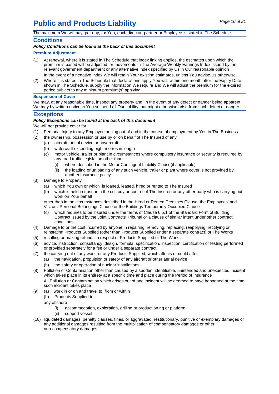## **Public and Products Liability** Page 10 of 21

The maximum We will pay, per day, for You, each director, partner or Employee is stated in The Schedule.

#### **Conditions**

**Policy Conditions can be found at the back of this document**

#### **Premium Adjustment**

- (1) At renewal, where itis stated in The Schedule that index linking applies, the estimates upon which the premium isbased will be adjusted for movements in The Average Weekly Earnings Index issued by the relevant government department or any alternative index specified by Us in Our reasonable opinion In the event of a negative index We will retain Your existing estimates, unless You advise Us otherwise.
- (2) Where it is stated in The Schedule that declarations apply You will, within one month after the Expiry Date shown in The Schedule, supply the information We require and We will adjust the premium for the expired period subject to any minimum premium(s) applying.

#### **Suspension of Cover**

We may, at any reasonable time, inspect any property and, in the event of any defect or danger being apparent, We may by written notice to You suspend all Our liability that might otherwise arise from such defect or danger.

#### **Exceptions**

#### **Policy Exceptions can be found at the back of this document**

We will not provide cover for

- (1) Personal Injury to any Employee arising out of and in the course of employment by You in The Business
- (2) the ownership, possession or use by or on behalf of The Insured of any
	- (a) aircraft, aerial device or hovercraft
	- (b) watercraft exceeding eight metres in length
	- (c) motor vehicle, trailer or plant in circumstances where compulsory insurance or security is required by any road traffic legislation other than
		- (i) where described in the Motor Contingent Liability Clause(if applicable)
		- (ii) the loading or unloading of any such vehicle, trailer or plant where cover is not provided by another insurance policy
- (3) Damage to Property
	- (a) which You own or which is loaned, leased, hired or rented to The Insured
	- (b) which is held in trust or in the custody or control of The Insured or any other party who is carrying out work on Your behalf

other than in the circumstances described in the Hired or Rented Premises Clause, the Employees' and Visitors' Personal Belongings Clause or the Buildings Temporarily Occupied Clause

- (c) which requires to be insured under the terms of Clause 6.5.1 of the Standard Form of Building Contract issued by the Joint Contracts Tribunal or a clause of similar intent under other contract conditions
- (4) Damage to or the cost incurred by anyone in repairing, removing, replacing, reapplying, rectifying or reinstating Products Supplied (other than Products Supplied under a separate contract) or The Works
- (5) recalling or making refunds in respect of Products Supplied or The Works
- (6) advice, instruction, consultancy, design, formula, specification, inspection, certification or testing performed or provided separately for a fee or under a separate contract
- (7) the carrying out of any work, or any Products Supplied, which affects or could affect
	- (a) the navigation, propulsion or safety of any aircraft or other aerial device
		- (b) the safety or operation of nuclear installations
- (8) Pollution or Contamination other than caused by a sudden, identifiable, unintended and unexpected incident which takes place in its entirety at a specific time and place during the Period of Insurance All Pollution or Contamination which arises out of one incident will be deemed to have happened at the time such incident takes place
- (9) (a) work in or on and travel to, from or within
	- (b) Products Supplied to
	- any offshore
		- (i) accommodation, exploration, drilling or production rig or platform
		- (ii) support vessel
- (10) liquidated damages, penalty clauses, fines, or aggravated, restitutionary, punitive or exemplary damages or any additional damages resulting from the multiplication of compensatory damages or other non-compensatory damages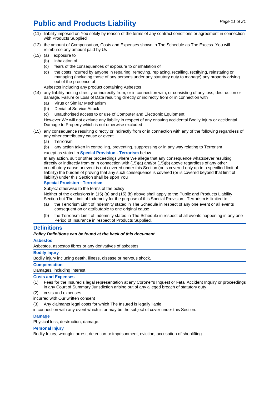## **Public and Products Liability** Page 11 of 21

- (11) liability imposed on You solely by reason of the terms of any contract conditions or agreement in connection with Products Supplied
- (12) the amount of Compensation, Costs and Expenses shown in The Schedule as The Excess. You will reimburse any amount paid by Us
- (13) (a) exposure to
	- (b) inhalation of
	- (c) fears of the consequences of exposure to or inhalation of
	- (d) the costs incurred by anyone in repairing, removing, replacing, recalling, rectifying, reinstating or managing (including those of any persons under any statutory duty to manage) any property arising out of the presence of

Asbestos including any product containing Asbestos

- (14) any liability arising directly or indirectly from, or in connection with, or consisting of any loss, destruction or damage, Failure or Loss of Data resulting directly or indirectly from or in connection with
	- (a) Virus or Similar Mechanism
	- (b) Denial of Service Attack
	- (c) unauthorised access to or use of Computer and Electronic Equipment

However We will not exclude any liability in respect of any ensuing accidental Bodily Injury or accidental Damage to Property which is not otherwise excluded

- (15) any consequence resulting directly or indirectly from or in connection with any of the following regardless of any other contributory cause or event
	- (a) Terrorism

(b) any action taken in controlling, preventing, suppressing or in any way relating to Terrorism except as stated in **Special Provision - Terrorism** below

In any action, suit or other proceedings where We allege that any consequence whatsoever resulting directly or indirectly from or in connection with (15)(a) and/or (15)(b) above regardless of any other contributory cause or event is not covered under this Section (or is covered only up to a specified limit of liability) the burden of proving that any such consequence is covered (or is covered beyond that limit of liability) under this Section shall be upon You

#### **Special Provision - Terrorism**

Subject otherwise to the terms of the policy

Neither of the exclusions in (15) (a) and (15) (b) above shall apply to the Public and Products Liability Section but The Limit of Indemnity for the purpose of this Special Provision - Terrorism islimited to

- (a) the Terrorism Limit of Indemnity stated in The Schedule in respect of any one event or all events consequent on or attributable to one original cause
- (b) the Terrorism Limit of Indemnity stated in The Schedule in respect of all events happening in any one Period of Insurance in respect of Products Supplied.

#### **Definitions**

#### **Policy Definitions can be found at the back of this document**

#### **Asbestos**

Asbestos, asbestos fibres or any derivatives of asbestos.

#### **Bodily Injury**

Bodily injury including death, illness, disease or nervous shock.

#### **Compensation**

Damages, including interest.

#### **Costs and Expenses**

- (1) Fees for the Insured's legal representation at any Coroner's Inquest or Fatal Accident Inquiry or proceedings in any Court of Summary Jurisdiction arising out of any alleged breach of statutory duty
- (2) costs and expenses

incurred with Our written consent

Any claimants legal costs for which The Insured is legally liable

in connection with any event which is or may be the subject of cover under this Section.

#### **Damage**

Physical loss, destruction, damage.

#### **Personal Injury**

Bodily Injury, wrongful arrest, detention or imprisonment, eviction, accusation of shoplifting.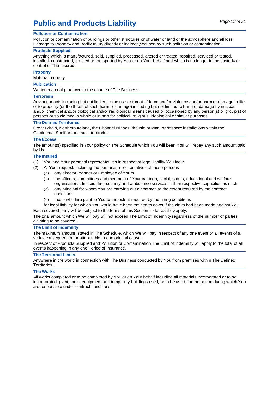## **Public and Products Liability** Page 12 of 21

Pollution or contamination of buildings or other structures or of water or land or the atmosphere and all loss, Damage to Property and Bodily Injury directly or indirectly caused by such pollution or contamination.

#### **Products Supplied**

Anything which is manufactured, sold, supplied, processed, altered or treated, repaired, serviced or tested, installed, constructed, erected or transported by You or on Your behalf and which is no longer in the custody or control of The Insured.

#### **Property**

Material property.

#### **Publication**

Written material produced in the course of The Business.

#### **Terrorism**

Any act or acts including but not limited to the use or threat of force and/or violence and/or harm or damage to life or to property (or the threat of such harm or damage) including but not limited to harm or damage by nuclear and/or chemical and/or biological and/or radiological means caused or occasioned by any person(s) or group(s) of persons or so claimed in whole or in part for political, religious, ideological or similar purposes.

#### **The Defined Territories**

Great Britain, Northern Ireland, the Channel Islands, the Isle of Man, or offshore installations within the Continental Shelf around such territories.

#### **The Excess**

The amount(s) specified in Your policy or The Schedule which You will bear. You will repay any such amount paid by Us.

#### **The Insured**

- (1) You and Your personal representatives in respect of legal liability You incur
- (2) At Your request, including the personal representatives of these persons
	- (a) any director, partner or Employee of Yours
	- (b) the officers, committees and members of Your canteen, social, sports, educational and welfare organisations, first aid, fire, security and ambulance services in their respective capacities as such
	- (c) any principal for whom You are carrying out a contract, to the extent required by the contract conditions
	- (d) those who hire plant to You to the extent required by the hiring conditions
- for legal liability for which You would have been entitled to cover if the claim had been made against You. Each covered party will be subject to the terms of this Section so far as they apply.

The total amount which We will pay will not exceed The Limit of Indemnity regardless of the number of parties claiming to be covered.

#### **The Limit of Indemnity**

The maximum amount, stated in The Schedule, which We will pay in respect of any one event or all events of a series consequent on or attributable to one original cause.

In respect of Products Supplied and Pollution or Contamination The Limit of Indemnity will apply to the total of all events happening in any one Period of Insurance.

#### **The Territorial Limits**

Anywhere in the world in connection with The Business conducted by You from premises within The Defined Territories.

#### **The Works**

All works completed or to be completed by You or on Your behalf including all materials incorporated or to be incorporated, plant, tools, equipment and temporary buildings used, or to be used, for the period during which You are responsible under contract conditions.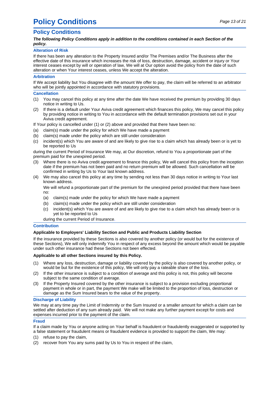## <span id="page-16-0"></span>**Policy Conditions** Page 13 of 21

### **Policy Conditions**

#### **The following Policy Conditions apply in addition to the conditions contained in each Section of the policy.**

#### **Alteration of Risk**

If there has been any alteration to the Property Insured and/or The Premises and/or The Business after the effective date of this insurance which increases the risk of loss, destruction, damage, accident or injury or Your interest ceases except by will or operation of law, We will at Our option avoid the policy from the date of such alteration or when Your interest ceases, unless We accept the alteration.

#### **Arbitration**

If We accept liability but You disagree with the amount We offer to pay, the claim will be referred to an arbitrator who will be jointly appointed in accordance with statutory provisions.

#### **Cancellation**

- (1) You may cancel this policy at any time after the date We have received the premium by providing 30 days notice in writing to Us.
- (2) If there is a default under Your Aviva credit agreement which finances this policy, We may cancel this policy by providing notice in writing to You in accordance with the default termination provisions set out in your Aviva credit agreement.

If Your policy is cancelled under (1) or (2) above and provided that there have been no:

- (a) claim(s) made under the policy for which We have made a payment
- (b) claim(s) made under the policy which are still under consideration
- (c) incident(s) which You are aware of and are likely to give rise to a claim which has already been or is yet to be reported to Us

during the current Period of Insurance We may, at Our discretion, refund to You a proportionate part of the premium paid for the unexpired period.

- (3) Where there is no Aviva credit agreement to finance this policy, We will cancel this policy from the inception date if the premium has not been paid and no return premium will be allowed. Such cancellation will be confirmed in writing by Us to Your last known address.
- (4) We may also cancel this policy at any time by sending not less than 30 days notice in writing to Your last known address.

We will refund a proportionate part of the premium for the unexpired period provided that there have been no:

- (a) claim(s) made under the policy for which We have made a payment
- (b) claim(s) made under the policy which are still under consideration
- (c) incident(s) which You are aware of and are likely to give rise to a claim which has already been or is yet to be reported to Us

during the current Period of Insurance.

#### **Contribution**

#### **Applicable to Employers' Liability Section and Public and Products Liability Section**

If the insurance provided by these Sections is also covered by another policy (or would but for the existence of these Sections), We will only indemnify You in respect of any excess beyond the amount which would be payable under such other insurance had these Sections not been effected.

#### **Applicable to all other Sections insured by this Policy.**

- (1) Where any loss, destruction, damage or liability covered by the policy is also covered by another policy, or would be but for the existence of this policy, We will only pay a rateable share of the loss.
- (2) If the other insurance is subject to a condition of average and this policy is not, this policy will become subject to the same condition of average.
- (3) If the Property Insured covered by the other insurance is subject to a provision excluding proportional payment in whole or in part, the payment We make will be limited to the proportion of loss, destruction or damage as the Sum Insured bears to the value of the property.

#### **Discharge of Liability**

We may at any time pay the Limit of Indemnity or the Sum Insured or a smaller amount for which a claim can be settled after deduction of any sum already paid. We will not make any further payment except for costs and expenses incurred prior to the payment of the claim.

#### **Fraud**

If a claim made by You or anyone acting on Your behalf is fraudulent or fraudulently exaggerated or supported by a false statement or fraudulent means or fraudulent evidence is provided to support the claim, We may:

- (1) refuse to pay the claim,
- (2) recover from You any sums paid by Us to You in respect of the claim,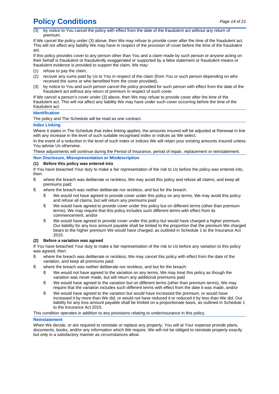## **Policy Conditions** Page 14 of 21

by notice to You cancel the policy with effect from the date of the fraudulent act without any return of premium.

If We cancel the policy under (3) above, then We may refuse to provide cover after the time of the fraudulent act. This will not affect any liability We may have in respect of the provision of cover before the time of the fraudulent act.

If this policy provides cover to any person other than You and a claim made by such person or anyone acting on their behalf is fraudulent or fraudulently exaggerated or supported by a false statement or fraudulent means or fraudulent evidence is provided to support the claim, We may:

- (1) refuse to pay the claim,
- (2) recover any sums paid by Us to You in respect of the claim (from You or such person depending on who received the sums or who benefited from the cover provided),
- (3) by notice to You and such person cancel the policy provided for such person with effect from the date of the fraudulent act without any return of premium in respect of such cover.

If We cancel a person's cover under (3) above, then We may refuse to provide cover after the time of the fraudulent act. This will not affect any liability We may have under such cover occurring before the time of the fraudulent act.

#### **Identification**

The policy and The Schedule will be read as one contract.

#### **Index Linking**

Where it states in The Schedule that index linking applies, the amounts insured will be adjusted at Renewal in line with any increase in the level of such suitable recognised index or indices as We select.

In the event of a reduction in the level of such index or indices We will retain your existing amounts insured unless You advise Us otherwise.

These adjustments will continue during the Period of Insurance, period of repair, replacement or reinstatement.

#### **Non Disclosure, Misrepresentation or Misdescription**

#### **(1) Before this policy was entered into**

If You have breached Your duty to make a fair representation of the risk to Us before the policy was entered into, then:

- ß where the breach was deliberate or reckless, We may avoid this policy and refuse all claims, and keep all premiums paid;
- ß where the breach was neither deliberate nor reckless, and but for the breach:
	- ß We would not have agreed to provide cover under this policy on any terms, We may avoid this policy and refuse all claims, but will return any premiums paid
	- ß We would have agreed to provide cover under this policy but on different terms (other than premium terms), We may require that this policy includes such different terms with effect from its commencement, and/or
	- ß We would have agreed to provide cover under this policy but would have charged a higher premium, Our liability for any loss amount payable shall be limited to the proportion that the premium We charged bears to the higher premium We would have charged, as outlined in Schedule 1 to the Insurance Act 2015.

#### **(2) Before a variation was agreed**

If You have breached Your duty to make a fair representation of the risk to Us before any variation to this policy was agreed, then:

- ß where the breach was deliberate or reckless, We may cancel this policy with effect from the date of the variation, and keep all premiums paid;
- ß where the breach was neither deliberate nor reckless, and but for the breach:
	- ß We would not have agreed to the variation on any terms, We may treat this policy as though the variation was never made, but will return any additional premiums paid
	- ß We would have agreed to the variation but on different terms (other than premium terms), We may require that the variation includes such different terms with effect from the date it was made, and/or
	- ß We would have agreed to the variation but would have increased the premium, or would have increased it by more than We did, or would not have reduced it or reduced it by less than We did, Our liability for any loss amount payable shall be limited on a proportionate basis, as outlined in Schedule 1 to the Insurance Act 2015.

This condition operates in addition to any provisions relating to underinsurance in this policy.

#### **Reinstatement**

When We decide, or are required to reinstate or replace any property, You will at Your expense provide plans, documents, books, and/or any information which We require. We will not be obliged to reinstate property exactly but only in a satisfactory manner as circumstances allow.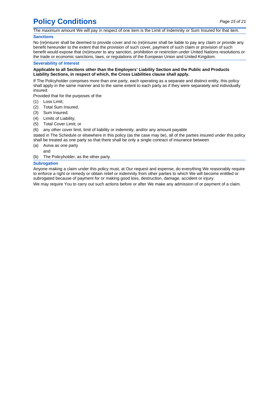## **Policy Conditions** Page 15 of 21

The maximum amount We will pay in respect of one item is the Limit of Indemnity or Sum Insured for that item.

#### **Sanctions**

No (re)insurer shall be deemed to provide cover and no (re)insurer shall be liable to pay any claim or provide any benefit hereunder to the extent that the provision of such cover, payment of such claim or provision of such benefit would expose that (re)insurer to any sanction, prohibition or restriction under United Nations resolutions or the trade or economic sanctions, laws, or regulations of the European Union and United Kingdom.

#### **Severability of Interest**

#### **Applicable to all Sections other than the Employers' Liability Section and the Public and Products Liability Sections, in respect of which, the Cross Liabilities clause shall apply.**

If The Policyholder comprises more than one party, each operating as a separate and distinct entity, this policy shall apply in the same manner and to the same extent to each party as if they were separately and individually insured.

Provided that for the purposes of the

- (1) Loss Limit;
- (2) Total Sum Insured;
- (3) Sum Insured;
- (4) Limits of Liability;
- (5) Total Cover Limit; or

(6) any other cover limit, limit of liability or indemnity, and/or any amount payable

stated in The Schedule or elsewhere in this policy (as the case may be), all of the parties insured under this policy shall be treated as one party so that there shall be only a single contract of insurance between

- (a) Aviva as one party
- and
- (b) The Policyholder, as the other party.

#### **Subrogation**

Anyone making a claim under this policy must, at Our request and expense, do everything We reasonably require to enforce a right or remedy or obtain relief or indemnity from other parties to which We will become entitled or subrogated because of payment for or making good loss, destruction, damage, accident or injury.

We may require You to carry out such actions before or after We make any admission of or payment of a claim.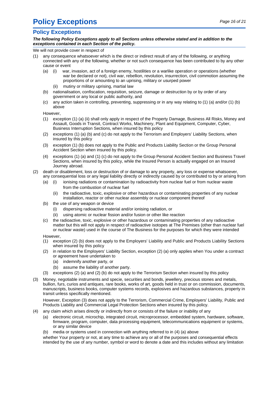## **Policy Exceptions** Page 16 of 21

### **Policy Exceptions**

**The following Policy Exceptions apply to all Sections unless otherwise stated and in addition to the exceptions contained in each Section of the policy.**

#### We will not provide cover in respect of

- (1) any consequence whatsoever which is the direct or indirect result of any of the following, or anything connected with any of the following, whether or not such consequence has been contributed to by any other cause or event
	- (a) (i) war, invasion, act of a foreign enemy, hostilities or a warlike operation or operations (whether war be declared or not), civil war, rebellion, revolution, insurrection, civil commotion assuming the proportions of or amounting to an uprising, military or usurped power
		- (ii) mutiny or military uprising, martial law
	- (b) nationalisation, confiscation, requisition, seizure, damage or destruction by or by order of any government or any local or public authority, and
	- (c) any action taken in controlling, preventing, suppressing or in any way relating to (1) (a) and/or (1) (b) above

However,

- (1) exception (1) (a) (ii) shall only apply in respect of the Property Damage, Business All Risks, Money and Assault, Goods in Transit, Contract Works, Machinery, Plant and Equipment, Computer, Cyber, Business Interruption Sections, when insured by this policy
- (2) exceptions (1) (a) (b) and (c) do not apply to the Terrorism and Employers' Liability Sections, when insured by this policy
- (3) exception (1) (b) does not apply to the Public and Products Liability Section or the Group Personal Accident Section when insured by this policy.
- (4) exceptions (1) (a) and (1) (c) do not apply to the Group Personal Accident Section and Business Travel Sections, when insured by this policy, while the Insured Person is actually engaged on an Insured Journey abroad.
- (2) death or disablement, loss or destruction of or damage to any property, any loss or expense whatsoever, any consequential loss or any legal liability directly or indirectly caused by or contributed to by or arising from
	- (a) (i) ionising radiations or contamination by radioactivity from nuclear fuel or from nuclear waste from the combustion of nuclear fuel
		- (ii) the radioactive, toxic, explosive or other hazardous or contaminating properties of any nuclear installation, reactor or other nuclear assembly or nuclear component thereof
	- (b) the use of any weapon or device
		- (i) dispersing radioactive material and/or ionising radiation, or
		- (ii) using atomic or nuclear fission and/or fusion or other like reaction
	- (c) the radioactive, toxic, explosive or other hazardous or contaminating properties of any radioactive matter but this will not apply in respect of radioactive isotopes at The Premises (other than nuclear fuel or nuclear waste) used in the course of The Business for the purposes for which they were intended

However,

- (1) exception (2) (b) does not apply to the Employers' Liability and Public and Products Liability Sections when insured by this policy
- (2) in relation to the Employers' Liability Section, exception (2) (a) only applies when You under a contract or agreement have undertaken to
	- (a) indemnify another party, or
	- (b) assume the liability of another party.
- exceptions (2) (a) and (2) (b) do not apply to the Terrorism Section when insured by this policy
- (3) Money, negotiable instruments and specie, securities and bonds, jewellery, precious stones and metals, bullion, furs, curios and antiques, rare books, works of art, goods held in trust or on commission, documents, manuscripts, business books, computer systems records, explosives and hazardous substances, property in transit unless specifically mentioned.

However, Exception (3) does not apply to the Terrorism, Commercial Crime, Employers' Liability, Public and Products Liability and Commercial Legal Protection Sections when insured by this policy.

- (4) any claim which arises directly or indirectly from or consists of the failure or inability of any
	- (a) electronic circuit, microchip, integrated circuit, microprocessor, embedded system, hardware, software, firmware, program, computer, data processing equipment, telecommunications equipment or systems, or any similar device
	- (b) media or systems used in connection with anything referred to in (4) (a) above

whether Your property or not, at any time to achieve any or all of the purposes and consequential effects intended by the use of any number, symbol or word to denote a date and this includes without any limitation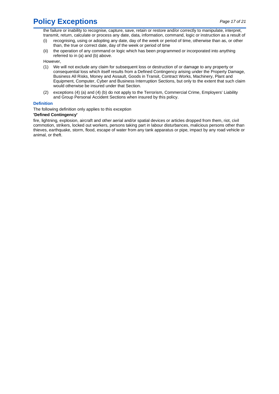## **Policy Exceptions** Page 17 of 21

the failure or inability to recognise, capture, save, retain or restore and/or correctly to manipulate, interpret, transmit, return, calculate or process any date, data, information, command, logic or instruction as a result of

- (i) recognising, using or adopting any date, day of the week or period of time, otherwise than as, or other than, the true or correct date, day of the week or period of time
- (ii) the operation of any command or logic which has been programmed or incorporated into anything referred to in (a) and (b) above.

However,

- (1) We will not exclude any claim for subsequent loss or destruction of or damage to any property or consequential loss which itself results from a Defined Contingency arising under the Property Damage, Business All Risks, Money and Assault, Goods in Transit, Contract Works, Machinery, Plant and Equipment, Computer, Cyber and Business Interruption Sections, but only to the extent that such claim would otherwise be insured under that Section.
- (2) exceptions (4) (a) and (4) (b) do not apply to the Terrorism, Commercial Crime, Employers' Liability and Group Personal Accident Sections when insured by this policy.

#### **Definition**

The following definition only applies to this exception

#### **'Defined Contingency'**

fire, lightning, explosion, aircraft and other aerial and/or spatial devices or articles dropped from them, riot, civil commotion, strikers, locked out workers, persons taking part in labour disturbances, malicious persons other than thieves, earthquake, storm, flood, escape of water from any tank apparatus or pipe, impact by any road vehicle or animal, or theft.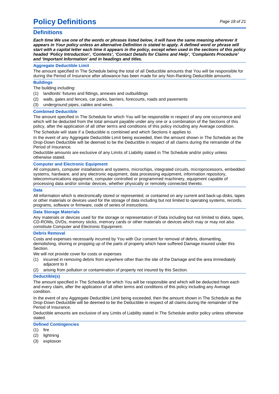## **Policy Definitions**  $\qquad \qquad \text{Page 18 of 21}$

### **Definitions**

Each time We use one of the words or phrases listed below, it will have the same meaning wherever it appears in Your policy unless an alternative Definition is stated to apply. A defined word or phrase will start with a capital letter each time it appears in the policy, except when used in the sections of this policy **headed 'Policy Introduction', 'Contents', 'Contact Details for Claims and Help', 'Complaints Procedure' and 'Important Information' and in headings and titles.**

#### **Aggregate Deductible Limit**

The amount specified in The Schedule being the total of all Deductible amounts that You will be responsible for during the Period of Insurance after allowance has been made for any Non-Ranking Deductible amounts.

#### **Buildings**

The building including:

- (1) landlords' fixtures and fittings, annexes and outbuildings
- (2) walls, gates and fences, car parks, barriers, forecourts, roads and pavements
- (3) underground pipes, cables and wires.

#### **Combined Deductible**

The amount specified in The Schedule for which You will be responsible in respect of any one occurrence and which will be deducted from the total amount payable under any one or a combination of the Sections of this policy, after the application of all other terms and conditions of this policy including any Average condition. The Schedule will state if a Deductible is combined and which Sections it applies to.

In the event of any Aggregate Deductible Limit being exceeded, then the amount shown in The Schedule as the Drop-Down Deductible will be deemed to be the Deductible in respect of all claims during the remainder of the Period of Insurance.

Deductible amounts are exclusive of any Limits of Liability stated in The Schedule and/or policy unless otherwise stated.

#### **Computer and Electronic Equipment**

All computers, computer installations and systems, microchips, integrated circuits, microprocessors, embedded systems, hardware, and any electronic equipment, data processing equipment, information repository, telecommunications equipment, computer controlled or programmed machinery, equipment capable of processing data and/or similar devices, whether physically or remotely connected thereto.

#### **Data**

All information which is electronically stored or represented, or contained on any current and back-up disks, tapes or other materials or devices used for the storage of data including but not limited to operating systems, records, programs, software or firmware, code of series of instructions.

#### **Data Storage Materials**

Any materials or devices used for the storage or representation of Data including but not limited to disks, tapes, CD-ROMs, DVDs, memory sticks, memory cards or other materials or devices which may or may not also constitute Computer and Electronic Equipment.

#### **Debris Removal**

Costs and expenses necessarily incurred by You with Our consent for removal of debris, dismantling, demolishing, shoring or propping up of the parts of property which have suffered Damage insured under this Section.

We will not provide cover for costs or expenses

- (1) incurred in removing debris from anywhere other than the site of the Damage and the area immediately adjacent to it
- (2) arising from pollution or contamination of property not insured by this Section.

#### **Deductible(s)**

The amount specified in The Schedule for which You will be responsible and which will be deducted from each and every claim, after the application of all other terms and conditions of this policy including any Average condition.

In the event of any Aggregate Deductible Limit being exceeded, then the amount shown in The Schedule as the Drop-Down Deductible will be deemed to be the Deductible in respect of all claims during the remainder of the Period of Insurance.

Deductible amounts are exclusive of any Limits of Liability stated in The Schedule and/or policy unless otherwise stated.

**Defined Contingencies**

- (1) fire
- (2) lightning
- (3) explosion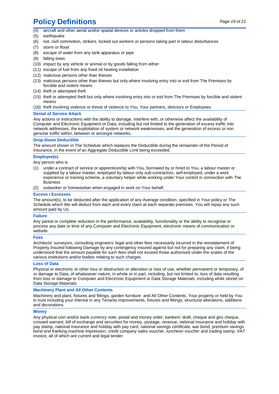## **Policy Definitions** *Page 19 of 21*

- (4) aircraft and other aerial and/or spatial devices or articles dropped from them
- (5) earthquake
- (6) riot, civil commotion, strikers, locked out workers or persons taking part in labour disturbances
- (7) storm or flood
- (8) escape of water from any tank apparatus or pipe
- (9) falling trees
- (10) impact by any vehicle or animal or by goods falling from either
- (11) escape of fuel from any fixed oil heating installation
- (12) malicious persons other than thieves
- (13) malicious persons other than thieves but only where involving entry into or exit from The Premises by forcible and violent means
- (14) theft or attempted theft
- (15) theft or attempted theft but only where involving entry into or exit from The Premises by forcible and violent means
- (16) theft involving violence or threat of violence to You, Your partners, directors or Employees.

#### **Denial of Service Attack**

Any actions or instructions with the ability to damage, interfere with, or otherwise affect the availability of Computer and Electronic Equipment or Data, including but not limited to the generation of excess traffic into network addresses, the exploitation of system or network weaknesses, and the generation of excess or non genuine traffic within, between or amongst networks.

#### **Drop-Down Deductible**

The amount shown in The Schedule which replaces the Deductible during the remainder of the Period of Insurance, in the event of an Aggregate Deductible Limit being exceeded.

#### **Employee(s)**

Any person who is

- (1) under a contract of service or apprenticeship with You, borrowed by or hired to You, a labour master or supplied by a labour master, employed by labour only sub-contractors, self-employed, under a work experience or training scheme, a voluntary helper while working under Your control in connection with The Business
- (2) outworker or homeworker when engaged in work on Your behalf.

#### **Excess / Excesses**

The amount(s), to be deducted after the application of any Average condition, specified in Your policy or The Schedule which We will deduct from each and every claim at each separate premises. You will repay any such amount paid by Us.

#### **Failure**

Any partial or complete reduction in the performance, availability, functionality or the ability to recognise or process any date or time of any Computer and Electronic Equipment, electronic means of communication or website.

#### **Fees**

Architects' surveyors, consulting engineers' legal and other fees necessarily incurred in the reinstatement of Property Insured following Damage by any contingency insured against but not for preparing any claim, it being understood that the amount payable for such fees shall not exceed those authorised under the scales of the various institutions and/or bodies relating to such charges.

#### **Loss of Data**

Physical or electronic or other loss or destruction or alteration or loss of use, whether permanent or temporary, of or damage to Data, of whatsoever nature, in whole or in part, including, but not limited to, loss of data resulting from loss or damage to Computer and Electronic Equipment or Data Storage Materials, including while stored on Data Storage Materials.

#### **Machinery Plant and All Other Contents**

Machinery and plant, fixtures and fittings, garden furniture and All Other Contents, Your property or held by You in trust including your interest in any Tenants improvements, fixtures and fittings, structural alterations, additions and decorations.

#### **Money**

Any physical coin and/or bank currency note, postal and money order, bankers' draft, cheque and giro cheque, crossed warrant, bill of exchange and securities for money, postage, revenue, national insurance and holiday with pay stamp, national insurance and holiday with pay card, national savings certificate, war bond, premium savings bond and franking machine impression, credit company sales voucher, luncheon voucher and trading stamp, VAT invoice, all of which are current and legal tender.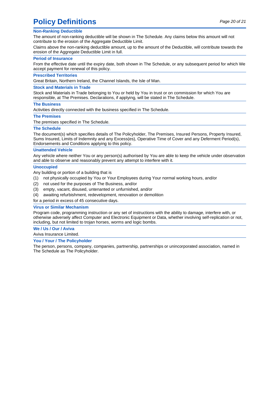## **Policy Definitions**  $Page 20 of 21$

#### **Non-Ranking Deductible**

The amount of non-ranking deductible will be shown in The Schedule. Any claims below this amount will not contribute to the erosion of the Aggregate Deductible Limit.

Claims above the non-ranking deductible amount, up to the amount of the Deductible, will contribute towards the erosion of the Aggregate Deductible Limit in full.

#### **Period of Insurance**

From the effective date until the expiry date, both shown in The Schedule, or any subsequent period for which We accept payment for renewal of this policy.

#### **Prescribed Territories**

Great Britain, Northern Ireland, the Channel Islands, the Isle of Man.

#### **Stock and Materials in Trade**

Stock and Materials in Trade belonging to You or held by You in trust or on commission for which You are responsible, at The Premises. Declarations, if applying, will be stated in The Schedule.

#### **The Business**

Activities directly connected with the business specified in The Schedule.

#### **The Premises**

The premises specified in The Schedule.

#### **The Schedule**

The document(s) which specifies details of The Policyholder, The Premises, Insured Persons, Property Insured, Sums Insured, Limits of Indemnity and any Excess(es), Operative Time of Cover and any Deferment Period(s), Endorsements and Conditions applying to this policy.

#### **Unattended Vehicle**

Any vehicle where neither You or any person(s) authorised by You are able to keep the vehicle under observation and able to observe and reasonably prevent any attempt to interfere with it.

#### **Unoccupied**

Any building or portion of a building that is

- (1) not physically occupied by You or Your Employees during Your normal working hours, and/or
- (2) not used for the purposes of The Business, and/or
- (3) empty, vacant, disused, untenanted or unfurnished, and/or
- (4) awaiting refurbishment, redevelopment, renovation or demolition

for a period in excess of 45 consecutive days.

#### **Virus or Similar Mechanism**

Program code, programming instruction or any set of instructions with the ability to damage, interfere with, or otherwise adversely affect Computer and Electronic Equipment or Data, whether involving self-replication or not, including, but not limited to trojan horses, worms and logic bombs.

### **We / Us / Our / Aviva**

Aviva Insurance Limited.

#### **You / Your / The Policyholder**

The person, persons, company, companies, partnership, partnerships or unincorporated association, named in The Schedule as The Policyholder.